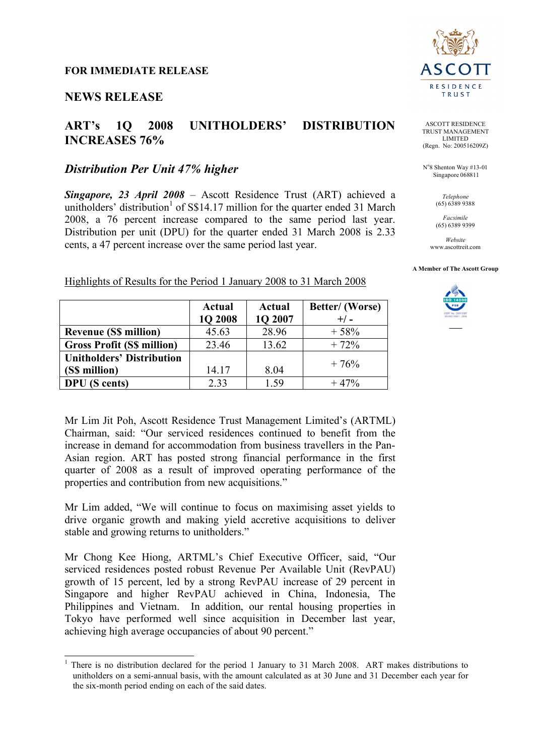## **NEWS RELEASE**

## **ART's 1Q 2008 UNITHOLDERS' DISTRIBUTION INCREASES 76%**

## *Distribution Per Unit 47% higher*

*Singapore, 23 April 2008* – Ascott Residence Trust (ART) achieved a unitholders' distribution<sup>1</sup> of S\$14.17 million for the quarter ended 31 March 2008, a 76 percent increase compared to the same period last year. Distribution per unit (DPU) for the quarter ended 31 March 2008 is 2.33 cents, a 47 percent increase over the same period last year.



**DPU** (S cents)  $2.33$  1.59 + 47%



ASCOTT RESIDENCE TRUST MANAGEMENT LIMITED (Regn. No: 200516209Z)

No 8 Shenton Way #13-01 Singapore 068811

> *Telephone* (65) 6389 9388

*Facsimile* (65) 6389 9399

*Website* www.ascottreit.com

#### **A Member of The Ascott Group**



Mr Lim Jit Poh, Ascott Residence Trust Management Limited's (ARTML) Chairman, said: "Our serviced residences continued to benefit from the increase in demand for accommodation from business travellers in the Pan-Asian region. ART has posted strong financial performance in the first quarter of 2008 as a result of improved operating performance of the properties and contribution from new acquisitions."

Mr Lim added, "We will continue to focus on maximising asset yields to drive organic growth and making yield accretive acquisitions to deliver stable and growing returns to unitholders."

Mr Chong Kee Hiong, ARTML's Chief Executive Officer, said, "Our serviced residences posted robust Revenue Per Available Unit (RevPAU) growth of 15 percent, led by a strong RevPAU increase of 29 percent in Singapore and higher RevPAU achieved in China, Indonesia, The Philippines and Vietnam. In addition, our rental housing properties in Tokyo have performed well since acquisition in December last year, achieving high average occupancies of about 90 percent."

<sup>&</sup>lt;sup>1</sup> There is no distribution declared for the period 1 January to 31 March 2008. ART makes distributions to unitholders on a semi-annual basis, with the amount calculated as at 30 June and 31 December each year for the six-month period ending on each of the said dates.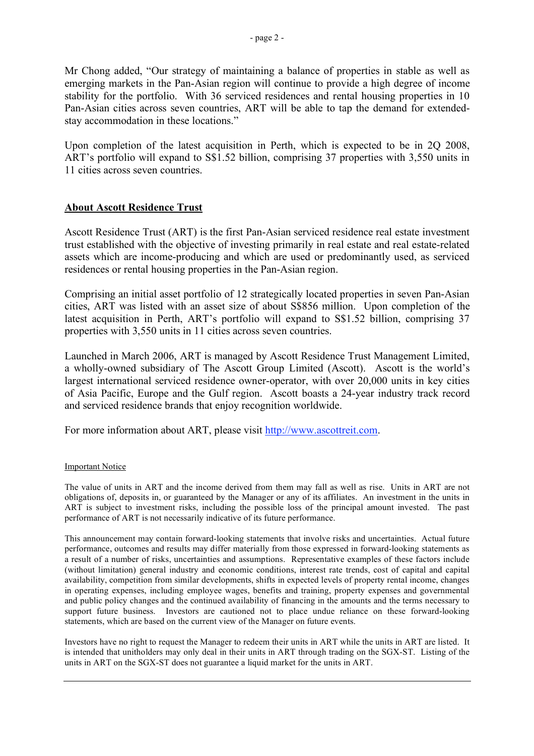Mr Chong added, "Our strategy of maintaining a balance of properties in stable as well as emerging markets in the Pan-Asian region will continue to provide a high degree of income stability for the portfolio. With 36 serviced residences and rental housing properties in 10 Pan-Asian cities across seven countries, ART will be able to tap the demand for extendedstay accommodation in these locations."

Upon completion of the latest acquisition in Perth, which is expected to be in 2Q 2008, ART's portfolio will expand to S\$1.52 billion, comprising 37 properties with 3,550 units in 11 cities across seven countries.

#### **About Ascott Residence Trust**

Ascott Residence Trust (ART) is the first Pan-Asian serviced residence real estate investment trust established with the objective of investing primarily in real estate and real estate-related assets which are income-producing and which are used or predominantly used, as serviced residences or rental housing properties in the Pan-Asian region.

Comprising an initial asset portfolio of 12 strategically located properties in seven Pan-Asian cities, ART was listed with an asset size of about S\$856 million. Upon completion of the latest acquisition in Perth, ART's portfolio will expand to S\$1.52 billion, comprising 37 properties with 3,550 units in 11 cities across seven countries.

Launched in March 2006, ART is managed by Ascott Residence Trust Management Limited, a wholly-owned subsidiary of The Ascott Group Limited (Ascott). Ascott is the world's largest international serviced residence owner-operator, with over 20,000 units in key cities of Asia Pacific, Europe and the Gulf region. Ascott boasts a 24-year industry track record and serviced residence brands that enjoy recognition worldwide.

For more information about ART, please visit http://www.ascottreit.com.

#### Important Notice

The value of units in ART and the income derived from them may fall as well as rise. Units in ART are not obligations of, deposits in, or guaranteed by the Manager or any of its affiliates. An investment in the units in ART is subject to investment risks, including the possible loss of the principal amount invested. The past performance of ART is not necessarily indicative of its future performance.

This announcement may contain forward-looking statements that involve risks and uncertainties. Actual future performance, outcomes and results may differ materially from those expressed in forward-looking statements as a result of a number of risks, uncertainties and assumptions. Representative examples of these factors include (without limitation) general industry and economic conditions, interest rate trends, cost of capital and capital availability, competition from similar developments, shifts in expected levels of property rental income, changes in operating expenses, including employee wages, benefits and training, property expenses and governmental and public policy changes and the continued availability of financing in the amounts and the terms necessary to support future business. Investors are cautioned not to place undue reliance on these forward-looking statements, which are based on the current view of the Manager on future events.

Investors have no right to request the Manager to redeem their units in ART while the units in ART are listed. It is intended that unitholders may only deal in their units in ART through trading on the SGX-ST. Listing of the units in ART on the SGX-ST does not guarantee a liquid market for the units in ART.